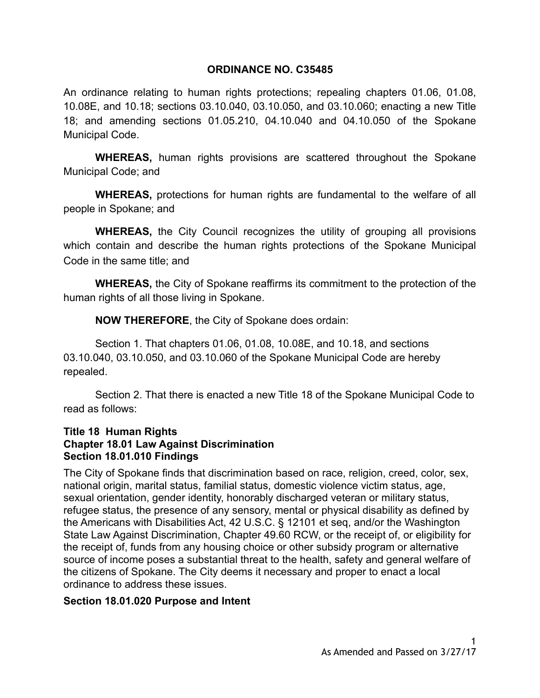### **ORDINANCE NO. C35485**

An ordinance relating to human rights protections; repealing chapters 01.06, 01.08, 10.08E, and 10.18; sections 03.10.040, 03.10.050, and 03.10.060; enacting a new Title 18; and amending sections 01.05.210, 04.10.040 and 04.10.050 of the Spokane Municipal Code.

**WHEREAS,** human rights provisions are scattered throughout the Spokane Municipal Code; and

**WHEREAS,** protections for human rights are fundamental to the welfare of all people in Spokane; and

**WHEREAS,** the City Council recognizes the utility of grouping all provisions which contain and describe the human rights protections of the Spokane Municipal Code in the same title; and

**WHEREAS,** the City of Spokane reaffirms its commitment to the protection of the human rights of all those living in Spokane.

**NOW THEREFORE**, the City of Spokane does ordain:

Section 1. That chapters 01.06, 01.08, 10.08E, and 10.18, and sections 03.10.040, 03.10.050, and 03.10.060 of the Spokane Municipal Code are hereby repealed.

Section 2. That there is enacted a new Title 18 of the Spokane Municipal Code to read as follows:

#### **Title 18 Human Rights Chapter 18.01 Law Against Discrimination Section 18.01.010 Findings**

The City of Spokane finds that discrimination based on race, religion, creed, color, sex, national origin, marital status, familial status, domestic violence victim status, age, sexual orientation, gender identity, honorably discharged veteran or military status, refugee status, the presence of any sensory, mental or physical disability as defined by the Americans with Disabilities Act, 42 U.S.C. § 12101 et seq, and/or the Washington State Law Against Discrimination, Chapter 49.60 RCW, or the receipt of, or eligibility for the receipt of, funds from any housing choice or other subsidy program or alternative source of income poses a substantial threat to the health, safety and general welfare of the citizens of Spokane. The City deems it necessary and proper to enact a local ordinance to address these issues.

### **Section 18.01.020 Purpose and Intent**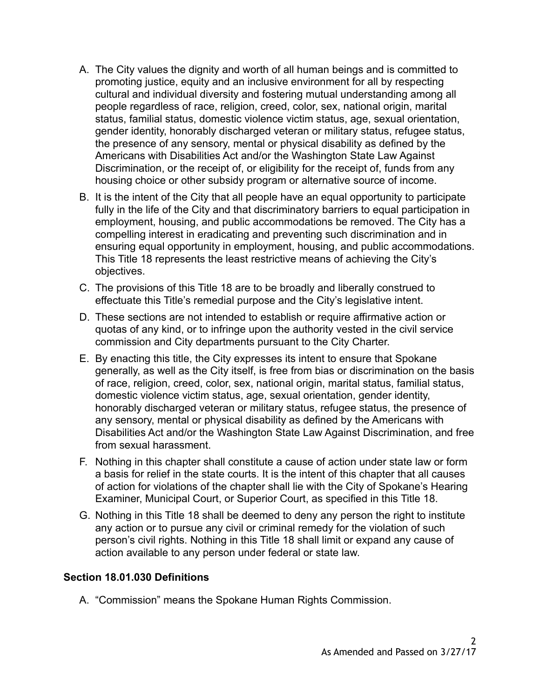- A. The City values the dignity and worth of all human beings and is committed to promoting justice, equity and an inclusive environment for all by respecting cultural and individual diversity and fostering mutual understanding among all people regardless of race, religion, creed, color, sex, national origin, marital status, familial status, domestic violence victim status, age, sexual orientation, gender identity, honorably discharged veteran or military status, refugee status, the presence of any sensory, mental or physical disability as defined by the Americans with Disabilities Act and/or the Washington State Law Against Discrimination, or the receipt of, or eligibility for the receipt of, funds from any housing choice or other subsidy program or alternative source of income.
- B. It is the intent of the City that all people have an equal opportunity to participate fully in the life of the City and that discriminatory barriers to equal participation in employment, housing, and public accommodations be removed. The City has a compelling interest in eradicating and preventing such discrimination and in ensuring equal opportunity in employment, housing, and public accommodations. This Title 18 represents the least restrictive means of achieving the City's objectives.
- C. The provisions of this Title 18 are to be broadly and liberally construed to effectuate this Title's remedial purpose and the City's legislative intent.
- D. These sections are not intended to establish or require affirmative action or quotas of any kind, or to infringe upon the authority vested in the civil service commission and City departments pursuant to the City Charter.
- E. By enacting this title, the City expresses its intent to ensure that Spokane generally, as well as the City itself, is free from bias or discrimination on the basis of race, religion, creed, color, sex, national origin, marital status, familial status, domestic violence victim status, age, sexual orientation, gender identity, honorably discharged veteran or military status, refugee status, the presence of any sensory, mental or physical disability as defined by the Americans with Disabilities Act and/or the Washington State Law Against Discrimination, and free from sexual harassment.
- F. Nothing in this chapter shall constitute a cause of action under state law or form a basis for relief in the state courts. It is the intent of this chapter that all causes of action for violations of the chapter shall lie with the City of Spokane's Hearing Examiner, Municipal Court, or Superior Court, as specified in this Title 18.
- G. Nothing in this Title 18 shall be deemed to deny any person the right to institute any action or to pursue any civil or criminal remedy for the violation of such person's civil rights. Nothing in this Title 18 shall limit or expand any cause of action available to any person under federal or state law.

#### **Section 18.01.030 Definitions**

A. "Commission" means the Spokane Human Rights Commission.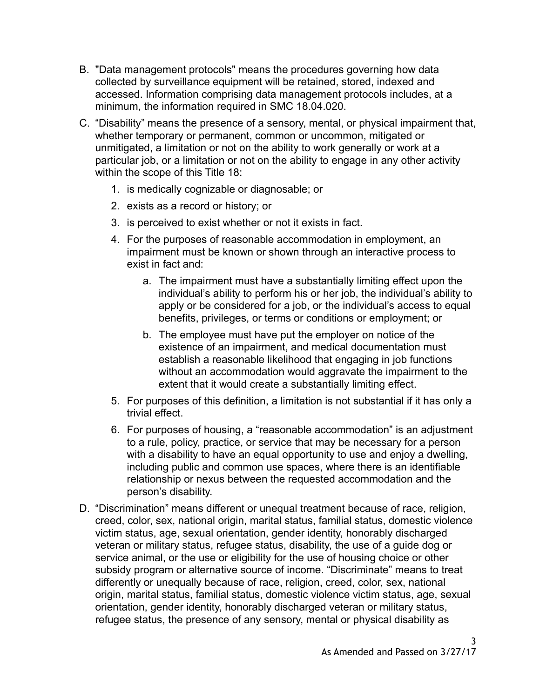- B. "Data management protocols" means the procedures governing how data collected by surveillance equipment will be retained, stored, indexed and accessed. Information comprising data management protocols includes, at a minimum, the information required in SMC 18.04.020.
- C. "Disability" means the presence of a sensory, mental, or physical impairment that, whether temporary or permanent, common or uncommon, mitigated or unmitigated, a limitation or not on the ability to work generally or work at a particular job, or a limitation or not on the ability to engage in any other activity within the scope of this Title 18:
	- 1. is medically cognizable or diagnosable; or
	- 2. exists as a record or history; or
	- 3. is perceived to exist whether or not it exists in fact.
	- 4. For the purposes of reasonable accommodation in employment, an impairment must be known or shown through an interactive process to exist in fact and:
		- a. The impairment must have a substantially limiting effect upon the individual's ability to perform his or her job, the individual's ability to apply or be considered for a job, or the individual's access to equal benefits, privileges, or terms or conditions or employment; or
		- b. The employee must have put the employer on notice of the existence of an impairment, and medical documentation must establish a reasonable likelihood that engaging in job functions without an accommodation would aggravate the impairment to the extent that it would create a substantially limiting effect.
	- 5. For purposes of this definition, a limitation is not substantial if it has only a trivial effect.
	- 6. For purposes of housing, a "reasonable accommodation" is an adjustment to a rule, policy, practice, or service that may be necessary for a person with a disability to have an equal opportunity to use and enjoy a dwelling, including public and common use spaces, where there is an identifiable relationship or nexus between the requested accommodation and the person's disability.
- D. "Discrimination" means different or unequal treatment because of race, religion, creed, color, sex, national origin, marital status, familial status, domestic violence victim status, age, sexual orientation, gender identity, honorably discharged veteran or military status, refugee status, disability, the use of a guide dog or service animal, or the use or eligibility for the use of housing choice or other subsidy program or alternative source of income. "Discriminate" means to treat differently or unequally because of race, religion, creed, color, sex, national origin, marital status, familial status, domestic violence victim status, age, sexual orientation, gender identity, honorably discharged veteran or military status, refugee status, the presence of any sensory, mental or physical disability as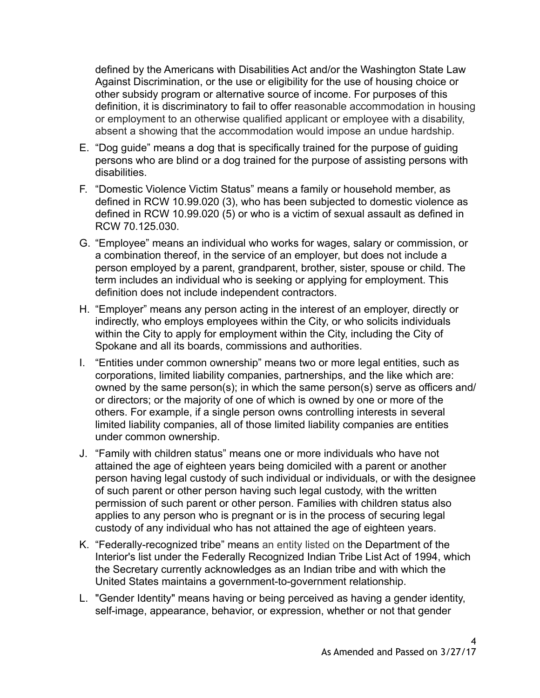defined by the Americans with Disabilities Act and/or the Washington State Law Against Discrimination, or the use or eligibility for the use of housing choice or other subsidy program or alternative source of income. For purposes of this definition, it is discriminatory to fail to offer reasonable accommodation in housing or employment to an otherwise qualified applicant or employee with a disability, absent a showing that the accommodation would impose an undue hardship.

- E. "Dog guide" means a dog that is specifically trained for the purpose of guiding persons who are blind or a dog trained for the purpose of assisting persons with disabilities.
- F. "Domestic Violence Victim Status" means a family or household member, as defined in RCW 10.99.020 (3), who has been subjected to domestic violence as defined in RCW 10.99.020 (5) or who is a victim of sexual assault as defined in RCW 70.125.030.
- G. "Employee" means an individual who works for wages, salary or commission, or a combination thereof, in the service of an employer, but does not include a person employed by a parent, grandparent, brother, sister, spouse or child. The term includes an individual who is seeking or applying for employment. This definition does not include independent contractors.
- H. "Employer" means any person acting in the interest of an employer, directly or indirectly, who employs employees within the City, or who solicits individuals within the City to apply for employment within the City, including the City of Spokane and all its boards, commissions and authorities.
- I. "Entities under common ownership" means two or more legal entities, such as corporations, limited liability companies, partnerships, and the like which are: owned by the same person(s); in which the same person(s) serve as officers and/ or directors; or the majority of one of which is owned by one or more of the others. For example, if a single person owns controlling interests in several limited liability companies, all of those limited liability companies are entities under common ownership.
- J. "Family with children status" means one or more individuals who have not attained the age of eighteen years being domiciled with a parent or another person having legal custody of such individual or individuals, or with the designee of such parent or other person having such legal custody, with the written permission of such parent or other person. Families with children status also applies to any person who is pregnant or is in the process of securing legal custody of any individual who has not attained the age of eighteen years.
- K. "Federally-recognized tribe" means an entity listed on the [Department](https://www.law.cornell.edu/definitions/index.php?width=840&height=800&iframe=true&def_id=c2d9ddcf3e6100dec223acdbaa739e05&term_occur=5&term_src=Title:25:Chapter:I:Subchapter:F:Part:83:Subpart:A:83.1) of the Interior's list under the [Federally Recognized Indian Tribe](https://www.law.cornell.edu/definitions/index.php?width=840&height=800&iframe=true&def_id=a835bae60d62cf71a650eb5d6e9a8df7&term_occur=1&term_src=Title:25:Chapter:I:Subchapter:F:Part:83:Subpart:A:83.1) List Act of 1994, which the [Secretary](https://www.law.cornell.edu/definitions/index.php?width=840&height=800&iframe=true&def_id=fd81af46b09fd9c3449162c64cf6793b&term_occur=1&term_src=Title:25:Chapter:I:Subchapter:F:Part:83:Subpart:A:83.1) currently acknowledges as an Indian [tribe](https://www.law.cornell.edu/definitions/index.php?width=840&height=800&iframe=true&def_id=3790f86b09d7a2e15ffec564b1d038ad&term_occur=1&term_src=Title:25:Chapter:I:Subchapter:F:Part:83:Subpart:A:83.1) and with which the United States maintains a government-to-government relationship.
- L. "Gender Identity" means having or being perceived as having a gender identity, self-image, appearance, behavior, or expression, whether or not that gender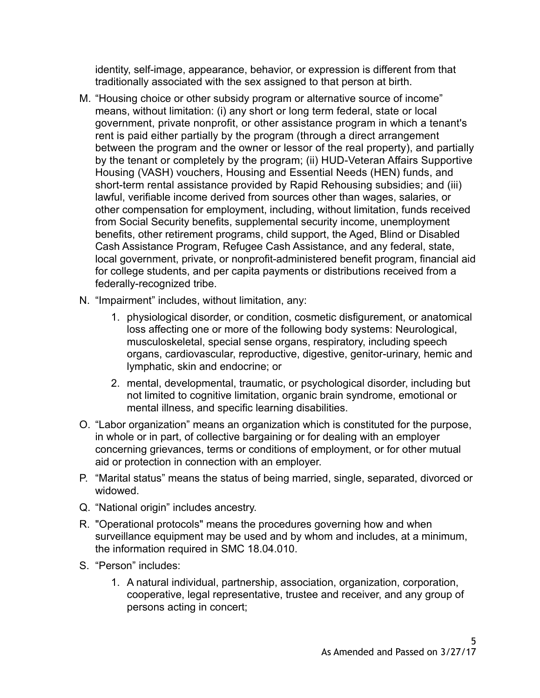identity, self-image, appearance, behavior, or expression is different from that traditionally associated with the sex assigned to that person at birth.

- M. "Housing choice or other subsidy program or alternative source of income" means, without limitation: (i) any short or long term federal, state or local government, private nonprofit, or other assistance program in which a tenant's rent is paid either partially by the program (through a direct arrangement between the program and the owner or lessor of the real property), and partially by the tenant or completely by the program; (ii) HUD-Veteran Affairs Supportive Housing (VASH) vouchers, Housing and Essential Needs (HEN) funds, and short-term rental assistance provided by Rapid Rehousing subsidies; and (iii) lawful, verifiable income derived from sources other than wages, salaries, or other compensation for employment, including, without limitation, funds received from Social Security benefits, supplemental security income, unemployment benefits, other retirement programs, child support, the Aged, Blind or Disabled Cash Assistance Program, Refugee Cash Assistance, and any federal, state, local government, private, or nonprofit-administered benefit program, financial aid for college students, and per capita payments or distributions received from a federally-recognized tribe.
- N. "Impairment" includes, without limitation, any:
	- 1. physiological disorder, or condition, cosmetic disfigurement, or anatomical loss affecting one or more of the following body systems: Neurological, musculoskeletal, special sense organs, respiratory, including speech organs, cardiovascular, reproductive, digestive, genitor-urinary, hemic and lymphatic, skin and endocrine; or
	- 2. mental, developmental, traumatic, or psychological disorder, including but not limited to cognitive limitation, organic brain syndrome, emotional or mental illness, and specific learning disabilities.
- O. "Labor organization" means an organization which is constituted for the purpose, in whole or in part, of collective bargaining or for dealing with an employer concerning grievances, terms or conditions of employment, or for other mutual aid or protection in connection with an employer.
- P. "Marital status" means the status of being married, single, separated, divorced or widowed.
- Q. "National origin" includes ancestry.
- R. "Operational protocols" means the procedures governing how and when surveillance equipment may be used and by whom and includes, at a minimum, the information required in SMC 18.04.010.
- S. "Person" includes:
	- 1. A natural individual, partnership, association, organization, corporation, cooperative, legal representative, trustee and receiver, and any group of persons acting in concert;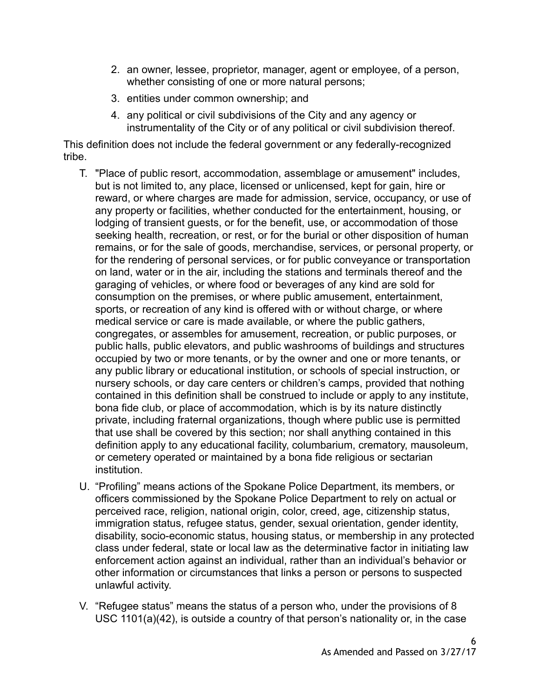- 2. an owner, lessee, proprietor, manager, agent or employee, of a person, whether consisting of one or more natural persons;
- 3. entities under common ownership; and
- 4. any political or civil subdivisions of the City and any agency or instrumentality of the City or of any political or civil subdivision thereof.

This definition does not include the federal government or any federally-recognized tribe.

- T. "Place of public resort, accommodation, assemblage or amusement" includes, but is not limited to, any place, licensed or unlicensed, kept for gain, hire or reward, or where charges are made for admission, service, occupancy, or use of any property or facilities, whether conducted for the entertainment, housing, or lodging of transient guests, or for the benefit, use, or accommodation of those seeking health, recreation, or rest, or for the burial or other disposition of human remains, or for the sale of goods, merchandise, services, or personal property, or for the rendering of personal services, or for public conveyance or transportation on land, water or in the air, including the stations and terminals thereof and the garaging of vehicles, or where food or beverages of any kind are sold for consumption on the premises, or where public amusement, entertainment, sports, or recreation of any kind is offered with or without charge, or where medical service or care is made available, or where the public gathers, congregates, or assembles for amusement, recreation, or public purposes, or public halls, public elevators, and public washrooms of buildings and structures occupied by two or more tenants, or by the owner and one or more tenants, or any public library or educational institution, or schools of special instruction, or nursery schools, or day care centers or children's camps, provided that nothing contained in this definition shall be construed to include or apply to any institute, bona fide club, or place of accommodation, which is by its nature distinctly private, including fraternal organizations, though where public use is permitted that use shall be covered by this section; nor shall anything contained in this definition apply to any educational facility, columbarium, crematory, mausoleum, or cemetery operated or maintained by a bona fide religious or sectarian institution.
- U. "Profiling" means actions of the Spokane Police Department, its members, or officers commissioned by the Spokane Police Department to rely on actual or perceived race, religion, national origin, color, creed, age, citizenship status, immigration status, refugee status, gender, sexual orientation, gender identity, disability, socio-economic status, housing status, or membership in any protected class under federal, state or local law as the determinative factor in initiating law enforcement action against an individual, rather than an individual's behavior or other information or circumstances that links a person or persons to suspected unlawful activity.
- V. "Refugee status" means the status of a person who, under the provisions of 8 USC 1101(a)(42), is outside a country of that person's nationality or, in the case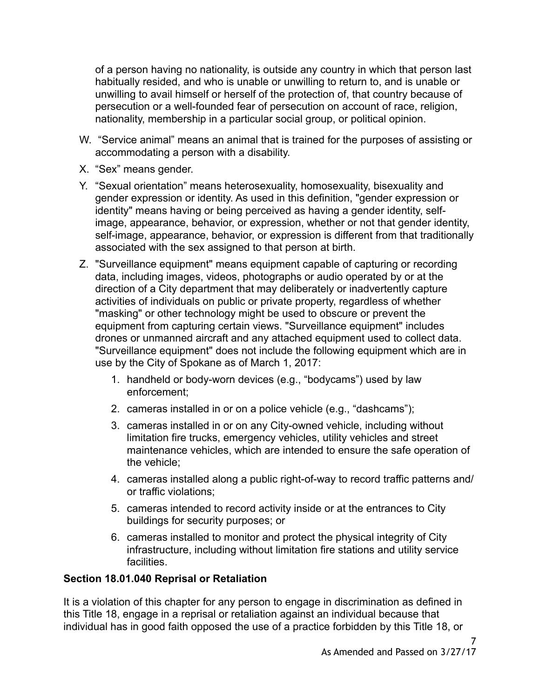of a person having no nationality, is outside any country in which that person last habitually resided, and who is unable or unwilling to return to, and is unable or unwilling to avail himself or herself of the protection of, that country because of persecution or a well-founded fear of persecution on account of race, religion, nationality, membership in a particular social group, or political opinion.

- W. "Service animal" means an animal that is trained for the purposes of assisting or accommodating a person with a disability.
- X. "Sex" means gender.
- Y. "Sexual orientation" means heterosexuality, homosexuality, bisexuality and gender expression or identity. As used in this definition, "gender expression or identity" means having or being perceived as having a gender identity, selfimage, appearance, behavior, or expression, whether or not that gender identity, self-image, appearance, behavior, or expression is different from that traditionally associated with the sex assigned to that person at birth.
- Z. "Surveillance equipment" means equipment capable of capturing or recording data, including images, videos, photographs or audio operated by or at the direction of a City department that may deliberately or inadvertently capture activities of individuals on public or private property, regardless of whether "masking" or other technology might be used to obscure or prevent the equipment from capturing certain views. "Surveillance equipment" includes drones or unmanned aircraft and any attached equipment used to collect data. "Surveillance equipment" does not include the following equipment which are in use by the City of Spokane as of March 1, 2017:
	- 1. handheld or body-worn devices (e.g., "bodycams") used by law enforcement;
	- 2. cameras installed in or on a police vehicle (e.g., "dashcams");
	- 3. cameras installed in or on any City-owned vehicle, including without limitation fire trucks, emergency vehicles, utility vehicles and street maintenance vehicles, which are intended to ensure the safe operation of the vehicle;
	- 4. cameras installed along a public right-of-way to record traffic patterns and/ or traffic violations;
	- 5. cameras intended to record activity inside or at the entrances to City buildings for security purposes; or
	- 6. cameras installed to monitor and protect the physical integrity of City infrastructure, including without limitation fire stations and utility service facilities.

# **Section 18.01.040 Reprisal or Retaliation**

It is a violation of this chapter for any person to engage in discrimination as defined in this Title 18, engage in a reprisal or retaliation against an individual because that individual has in good faith opposed the use of a practice forbidden by this Title 18, or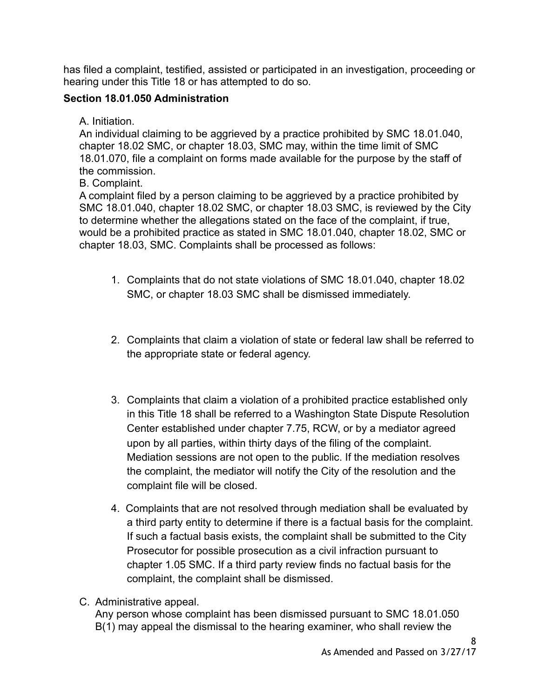has filed a complaint, testified, assisted or participated in an investigation, proceeding or hearing under this Title 18 or has attempted to do so.

## **Section 18.01.050 Administration**

A. Initiation.

An individual claiming to be aggrieved by a practice prohibited by SMC 18.01.040, chapter 18.02 SMC, or chapter 18.03, SMC may, within the time limit of SMC 18.01.070, file a complaint on forms made available for the purpose by the staff of the commission.

B. Complaint.

A complaint filed by a person claiming to be aggrieved by a practice prohibited by SMC 18.01.040, chapter 18.02 SMC, or chapter 18.03 SMC, is reviewed by the City to determine whether the allegations stated on the face of the complaint, if true, would be a prohibited practice as stated in SMC 18.01.040, chapter 18.02, SMC or chapter 18.03, SMC. Complaints shall be processed as follows:

- 1. Complaints that do not state violations of SMC 18.01.040, chapter 18.02 SMC, or chapter 18.03 SMC shall be dismissed immediately.
- 2. Complaints that claim a violation of state or federal law shall be referred to the appropriate state or federal agency.
- 3. Complaints that claim a violation of a prohibited practice established only in this Title 18 shall be referred to a Washington State Dispute Resolution Center established under chapter 7.75, RCW, or by a mediator agreed upon by all parties, within thirty days of the filing of the complaint. Mediation sessions are not open to the public. If the mediation resolves the complaint, the mediator will notify the City of the resolution and the complaint file will be closed.
- 4. Complaints that are not resolved through mediation shall be evaluated by a third party entity to determine if there is a factual basis for the complaint. If such a factual basis exists, the complaint shall be submitted to the City Prosecutor for possible prosecution as a civil infraction pursuant to chapter 1.05 SMC. If a third party review finds no factual basis for the complaint, the complaint shall be dismissed.
- C. Administrative appeal.

Any person whose complaint has been dismissed pursuant to SMC 18.01.050 B(1) may appeal the dismissal to the hearing examiner, who shall review the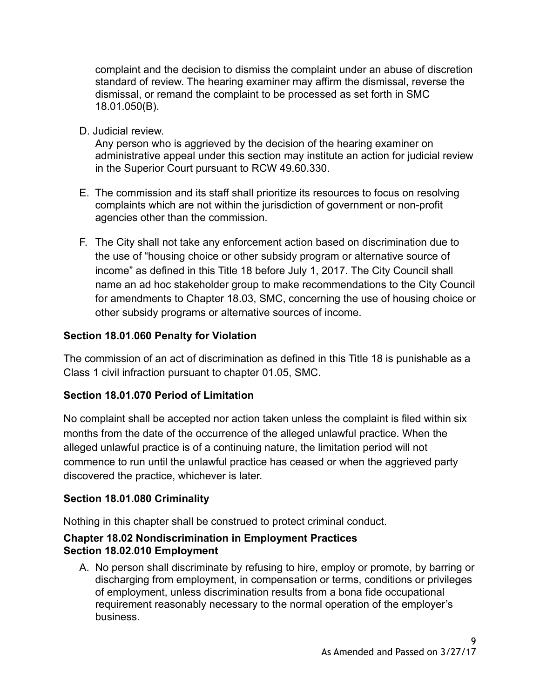complaint and the decision to dismiss the complaint under an abuse of discretion standard of review. The hearing examiner may affirm the dismissal, reverse the dismissal, or remand the complaint to be processed as set forth in SMC 18.01.050(B).

D. Judicial review.

Any person who is aggrieved by the decision of the hearing examiner on administrative appeal under this section may institute an action for judicial review in the Superior Court pursuant to RCW 49.60.330.

- E. The commission and its staff shall prioritize its resources to focus on resolving complaints which are not within the jurisdiction of government or non-profit agencies other than the commission.
- F. The City shall not take any enforcement action based on discrimination due to the use of "housing choice or other subsidy program or alternative source of income" as defined in this Title 18 before July 1, 2017. The City Council shall name an ad hoc stakeholder group to make recommendations to the City Council for amendments to Chapter 18.03, SMC, concerning the use of housing choice or other subsidy programs or alternative sources of income.

## **Section 18.01.060 Penalty for Violation**

The commission of an act of discrimination as defined in this Title 18 is punishable as a Class 1 civil infraction pursuant to chapter 01.05, SMC.

### **Section 18.01.070 Period of Limitation**

No complaint shall be accepted nor action taken unless the complaint is filed within six months from the date of the occurrence of the alleged unlawful practice. When the alleged unlawful practice is of a continuing nature, the limitation period will not commence to run until the unlawful practice has ceased or when the aggrieved party discovered the practice, whichever is later.

# **Section 18.01.080 Criminality**

Nothing in this chapter shall be construed to protect criminal conduct.

### **Chapter 18.02 Nondiscrimination in Employment Practices Section 18.02.010 Employment**

A. No person shall discriminate by refusing to hire, employ or promote, by barring or discharging from employment, in compensation or terms, conditions or privileges of employment, unless discrimination results from a bona fide occupational requirement reasonably necessary to the normal operation of the employer's business.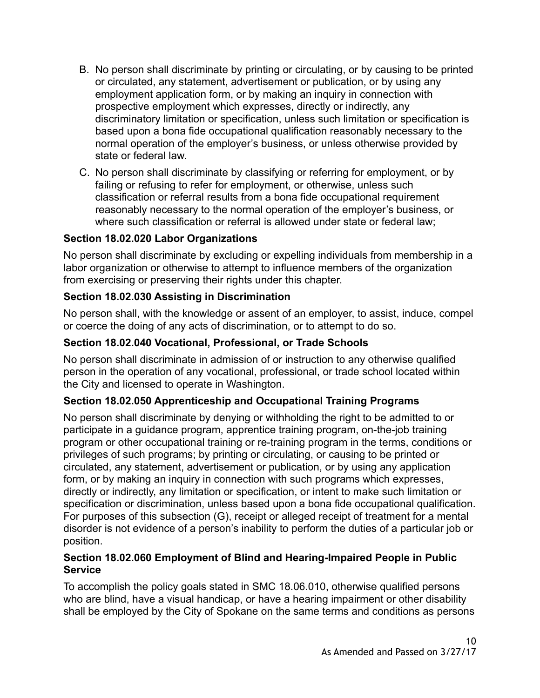- B. No person shall discriminate by printing or circulating, or by causing to be printed or circulated, any statement, advertisement or publication, or by using any employment application form, or by making an inquiry in connection with prospective employment which expresses, directly or indirectly, any discriminatory limitation or specification, unless such limitation or specification is based upon a bona fide occupational qualification reasonably necessary to the normal operation of the employer's business, or unless otherwise provided by state or federal law.
- C. No person shall discriminate by classifying or referring for employment, or by failing or refusing to refer for employment, or otherwise, unless such classification or referral results from a bona fide occupational requirement reasonably necessary to the normal operation of the employer's business, or where such classification or referral is allowed under state or federal law;

## **Section 18.02.020 Labor Organizations**

No person shall discriminate by excluding or expelling individuals from membership in a labor organization or otherwise to attempt to influence members of the organization from exercising or preserving their rights under this chapter.

## **Section 18.02.030 Assisting in Discrimination**

No person shall, with the knowledge or assent of an employer, to assist, induce, compel or coerce the doing of any acts of discrimination, or to attempt to do so.

## **Section 18.02.040 Vocational, Professional, or Trade Schools**

No person shall discriminate in admission of or instruction to any otherwise qualified person in the operation of any vocational, professional, or trade school located within the City and licensed to operate in Washington.

# **Section 18.02.050 Apprenticeship and Occupational Training Programs**

No person shall discriminate by denying or withholding the right to be admitted to or participate in a guidance program, apprentice training program, on-the-job training program or other occupational training or re-training program in the terms, conditions or privileges of such programs; by printing or circulating, or causing to be printed or circulated, any statement, advertisement or publication, or by using any application form, or by making an inquiry in connection with such programs which expresses, directly or indirectly, any limitation or specification, or intent to make such limitation or specification or discrimination, unless based upon a bona fide occupational qualification. For purposes of this subsection (G), receipt or alleged receipt of treatment for a mental disorder is not evidence of a person's inability to perform the duties of a particular job or position.

### **Section 18.02.060 Employment of Blind and Hearing-Impaired People in Public Service**

To accomplish the policy goals stated in SMC 18.06.010, otherwise qualified persons who are blind, have a visual handicap, or have a hearing impairment or other disability shall be employed by the City of Spokane on the same terms and conditions as persons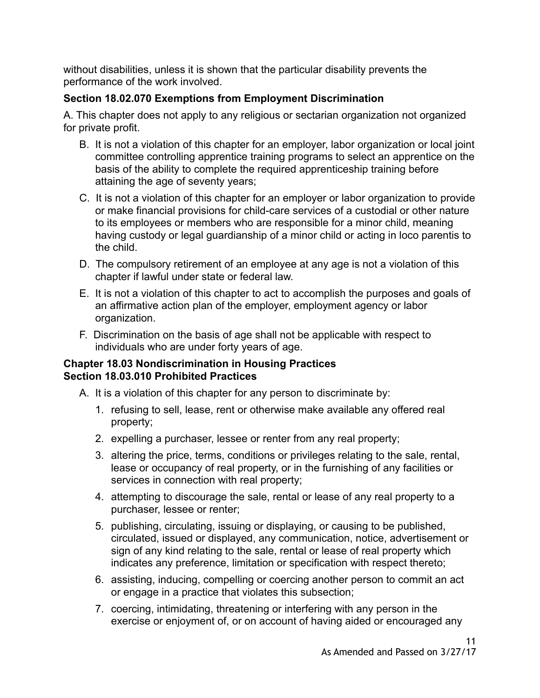without disabilities, unless it is shown that the particular disability prevents the performance of the work involved.

# **Section 18.02.070 Exemptions from Employment Discrimination**

A. This chapter does not apply to any religious or sectarian organization not organized for private profit.

- B. It is not a violation of this chapter for an employer, labor organization or local joint committee controlling apprentice training programs to select an apprentice on the basis of the ability to complete the required apprenticeship training before attaining the age of seventy years;
- C. It is not a violation of this chapter for an employer or labor organization to provide or make financial provisions for child-care services of a custodial or other nature to its employees or members who are responsible for a minor child, meaning having custody or legal guardianship of a minor child or acting in loco parentis to the child.
- D. The compulsory retirement of an employee at any age is not a violation of this chapter if lawful under state or federal law.
- E. It is not a violation of this chapter to act to accomplish the purposes and goals of an affirmative action plan of the employer, employment agency or labor organization.
- F. Discrimination on the basis of age shall not be applicable with respect to individuals who are under forty years of age.

### **Chapter 18.03 Nondiscrimination in Housing Practices Section 18.03.010 Prohibited Practices**

- A. It is a violation of this chapter for any person to discriminate by:
	- 1. refusing to sell, lease, rent or otherwise make available any offered real property;
	- 2. expelling a purchaser, lessee or renter from any real property;
	- 3. altering the price, terms, conditions or privileges relating to the sale, rental, lease or occupancy of real property, or in the furnishing of any facilities or services in connection with real property;
	- 4. attempting to discourage the sale, rental or lease of any real property to a purchaser, lessee or renter;
	- 5. publishing, circulating, issuing or displaying, or causing to be published, circulated, issued or displayed, any communication, notice, advertisement or sign of any kind relating to the sale, rental or lease of real property which indicates any preference, limitation or specification with respect thereto;
	- 6. assisting, inducing, compelling or coercing another person to commit an act or engage in a practice that violates this subsection;
	- 7. coercing, intimidating, threatening or interfering with any person in the exercise or enjoyment of, or on account of having aided or encouraged any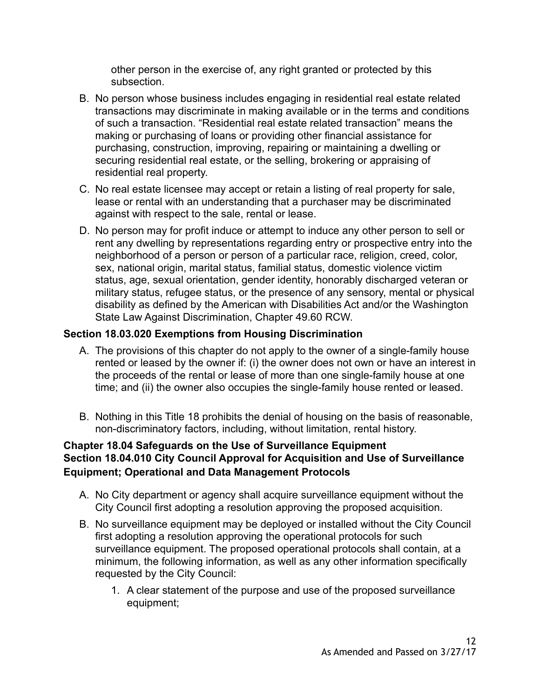other person in the exercise of, any right granted or protected by this subsection.

- B. No person whose business includes engaging in residential real estate related transactions may discriminate in making available or in the terms and conditions of such a transaction. "Residential real estate related transaction" means the making or purchasing of loans or providing other financial assistance for purchasing, construction, improving, repairing or maintaining a dwelling or securing residential real estate, or the selling, brokering or appraising of residential real property.
- C. No real estate licensee may accept or retain a listing of real property for sale, lease or rental with an understanding that a purchaser may be discriminated against with respect to the sale, rental or lease.
- D. No person may for profit induce or attempt to induce any other person to sell or rent any dwelling by representations regarding entry or prospective entry into the neighborhood of a person or person of a particular race, religion, creed, color, sex, national origin, marital status, familial status, domestic violence victim status, age, sexual orientation, gender identity, honorably discharged veteran or military status, refugee status, or the presence of any sensory, mental or physical disability as defined by the American with Disabilities Act and/or the Washington State Law Against Discrimination, Chapter 49.60 RCW.

# **Section 18.03.020 Exemptions from Housing Discrimination**

- A. The provisions of this chapter do not apply to the owner of a single-family house rented or leased by the owner if: (i) the owner does not own or have an interest in the proceeds of the rental or lease of more than one single-family house at one time; and (ii) the owner also occupies the single-family house rented or leased.
- B. Nothing in this Title 18 prohibits the denial of housing on the basis of reasonable, non-discriminatory factors, including, without limitation, rental history.

### **Chapter 18.04 Safeguards on the Use of Surveillance Equipment Section 18.04.010 City Council Approval for Acquisition and Use of Surveillance Equipment; Operational and Data Management Protocols**

- A. No City department or agency shall acquire surveillance equipment without the City Council first adopting a resolution approving the proposed acquisition.
- B. No surveillance equipment may be deployed or installed without the City Council first adopting a resolution approving the operational protocols for such surveillance equipment. The proposed operational protocols shall contain, at a minimum, the following information, as well as any other information specifically requested by the City Council:
	- 1. A clear statement of the purpose and use of the proposed surveillance equipment;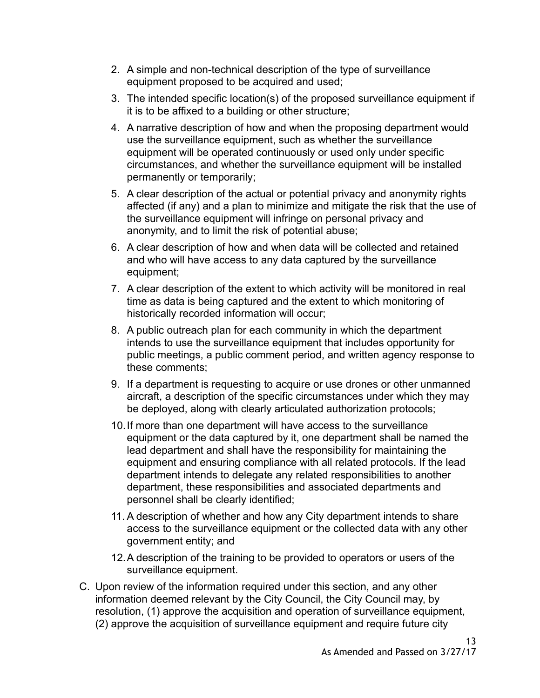- 2. A simple and non-technical description of the type of surveillance equipment proposed to be acquired and used;
- 3. The intended specific location(s) of the proposed surveillance equipment if it is to be affixed to a building or other structure;
- 4. A narrative description of how and when the proposing department would use the surveillance equipment, such as whether the surveillance equipment will be operated continuously or used only under specific circumstances, and whether the surveillance equipment will be installed permanently or temporarily;
- 5. A clear description of the actual or potential privacy and anonymity rights affected (if any) and a plan to minimize and mitigate the risk that the use of the surveillance equipment will infringe on personal privacy and anonymity, and to limit the risk of potential abuse;
- 6. A clear description of how and when data will be collected and retained and who will have access to any data captured by the surveillance equipment;
- 7. A clear description of the extent to which activity will be monitored in real time as data is being captured and the extent to which monitoring of historically recorded information will occur;
- 8. A public outreach plan for each community in which the department intends to use the surveillance equipment that includes opportunity for public meetings, a public comment period, and written agency response to these comments;
- 9. If a department is requesting to acquire or use drones or other unmanned aircraft, a description of the specific circumstances under which they may be deployed, along with clearly articulated authorization protocols;
- 10.If more than one department will have access to the surveillance equipment or the data captured by it, one department shall be named the lead department and shall have the responsibility for maintaining the equipment and ensuring compliance with all related protocols. If the lead department intends to delegate any related responsibilities to another department, these responsibilities and associated departments and personnel shall be clearly identified;
- 11. A description of whether and how any City department intends to share access to the surveillance equipment or the collected data with any other government entity; and
- 12.A description of the training to be provided to operators or users of the surveillance equipment.
- C. Upon review of the information required under this section, and any other information deemed relevant by the City Council, the City Council may, by resolution, (1) approve the acquisition and operation of surveillance equipment, (2) approve the acquisition of surveillance equipment and require future city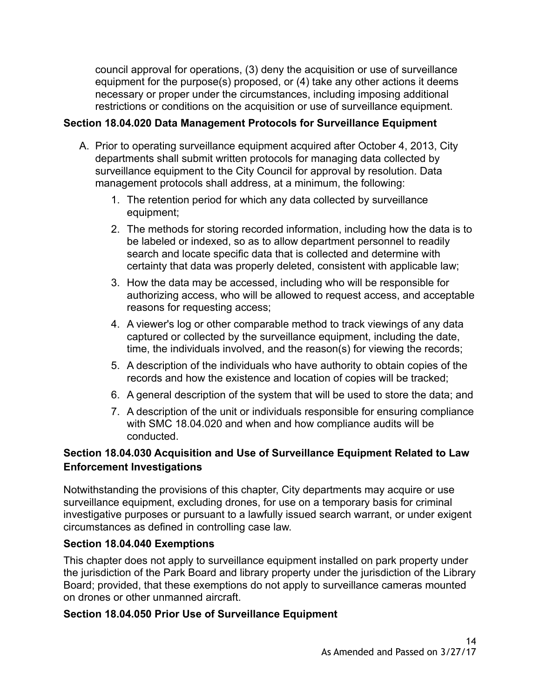council approval for operations, (3) deny the acquisition or use of surveillance equipment for the purpose(s) proposed, or (4) take any other actions it deems necessary or proper under the circumstances, including imposing additional restrictions or conditions on the acquisition or use of surveillance equipment.

# **Section 18.04.020 Data Management Protocols for Surveillance Equipment**

- A. Prior to operating surveillance equipment acquired after October 4, 2013, City departments shall submit written protocols for managing data collected by surveillance equipment to the City Council for approval by resolution. Data management protocols shall address, at a minimum, the following:
	- 1. The retention period for which any data collected by surveillance equipment;
	- 2. The methods for storing recorded information, including how the data is to be labeled or indexed, so as to allow department personnel to readily search and locate specific data that is collected and determine with certainty that data was properly deleted, consistent with applicable law;
	- 3. How the data may be accessed, including who will be responsible for authorizing access, who will be allowed to request access, and acceptable reasons for requesting access;
	- 4. A viewer's log or other comparable method to track viewings of any data captured or collected by the surveillance equipment, including the date, time, the individuals involved, and the reason(s) for viewing the records;
	- 5. A description of the individuals who have authority to obtain copies of the records and how the existence and location of copies will be tracked;
	- 6. A general description of the system that will be used to store the data; and
	- 7. A description of the unit or individuals responsible for ensuring compliance with SMC 18.04.020 and when and how compliance audits will be conducted.

# **Section 18.04.030 Acquisition and Use of Surveillance Equipment Related to Law Enforcement Investigations**

Notwithstanding the provisions of this chapter, City departments may acquire or use surveillance equipment, excluding drones, for use on a temporary basis for criminal investigative purposes or pursuant to a lawfully issued search warrant, or under exigent circumstances as defined in controlling case law.

# **Section 18.04.040 Exemptions**

This chapter does not apply to surveillance equipment installed on park property under the jurisdiction of the Park Board and library property under the jurisdiction of the Library Board; provided, that these exemptions do not apply to surveillance cameras mounted on drones or other unmanned aircraft.

# **Section 18.04.050 Prior Use of Surveillance Equipment**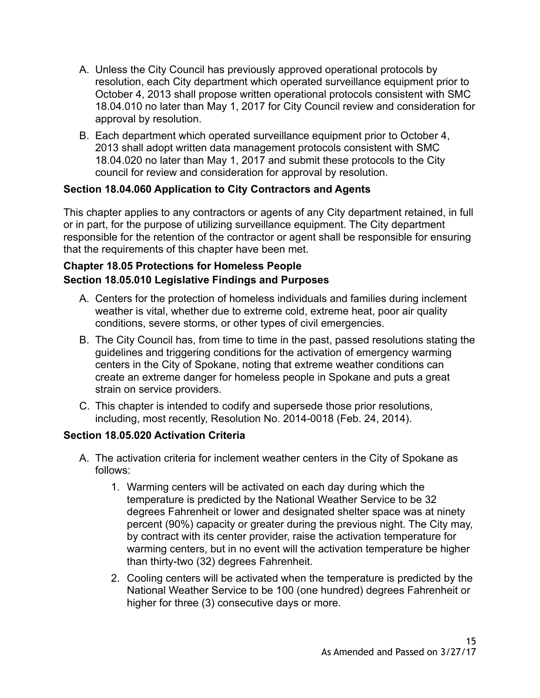- A. Unless the City Council has previously approved operational protocols by resolution, each City department which operated surveillance equipment prior to October 4, 2013 shall propose written operational protocols consistent with SMC 18.04.010 no later than May 1, 2017 for City Council review and consideration for approval by resolution.
- B. Each department which operated surveillance equipment prior to October 4, 2013 shall adopt written data management protocols consistent with SMC 18.04.020 no later than May 1, 2017 and submit these protocols to the City council for review and consideration for approval by resolution.

## **Section 18.04.060 Application to City Contractors and Agents**

This chapter applies to any contractors or agents of any City department retained, in full or in part, for the purpose of utilizing surveillance equipment. The City department responsible for the retention of the contractor or agent shall be responsible for ensuring that the requirements of this chapter have been met.

# **Chapter 18.05 Protections for Homeless People Section 18.05.010 Legislative Findings and Purposes**

- A. Centers for the protection of homeless individuals and families during inclement weather is vital, whether due to extreme cold, extreme heat, poor air quality conditions, severe storms, or other types of civil emergencies.
- B. The City Council has, from time to time in the past, passed resolutions stating the guidelines and triggering conditions for the activation of emergency warming centers in the City of Spokane, noting that extreme weather conditions can create an extreme danger for homeless people in Spokane and puts a great strain on service providers.
- C. This chapter is intended to codify and supersede those prior resolutions, including, most recently, Resolution No. 2014-0018 (Feb. 24, 2014).

# **Section 18.05.020 Activation Criteria**

- A. The activation criteria for inclement weather centers in the City of Spokane as follows:
	- 1. Warming centers will be activated on each day during which the temperature is predicted by the National Weather Service to be 32 degrees Fahrenheit or lower and designated shelter space was at ninety percent (90%) capacity or greater during the previous night. The City may, by contract with its center provider, raise the activation temperature for warming centers, but in no event will the activation temperature be higher than thirty-two (32) degrees Fahrenheit.
	- 2. Cooling centers will be activated when the temperature is predicted by the National Weather Service to be 100 (one hundred) degrees Fahrenheit or higher for three (3) consecutive days or more.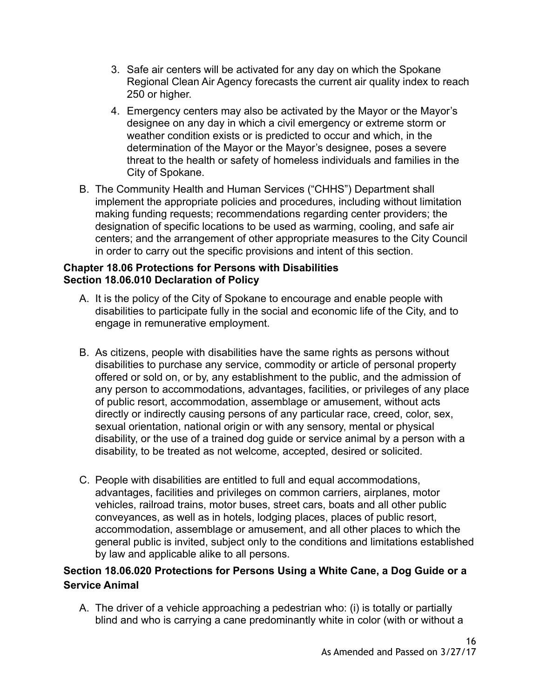- 3. Safe air centers will be activated for any day on which the Spokane Regional Clean Air Agency forecasts the current air quality index to reach 250 or higher.
- 4. Emergency centers may also be activated by the Mayor or the Mayor's designee on any day in which a civil emergency or extreme storm or weather condition exists or is predicted to occur and which, in the determination of the Mayor or the Mayor's designee, poses a severe threat to the health or safety of homeless individuals and families in the City of Spokane.
- B. The Community Health and Human Services ("CHHS") Department shall implement the appropriate policies and procedures, including without limitation making funding requests; recommendations regarding center providers; the designation of specific locations to be used as warming, cooling, and safe air centers; and the arrangement of other appropriate measures to the City Council in order to carry out the specific provisions and intent of this section.

### **Chapter 18.06 Protections for Persons with Disabilities [Section 18.06.010](https://my.spokanecity.org/smc/?Section=10.18.010) Declaration of Policy**

- A. It is the policy of the City of Spokane to encourage and enable people with disabilities to participate fully in the social and economic life of the City, and to engage in remunerative employment.
- B. As citizens, people with disabilities have the same rights as persons without disabilities to purchase any service, commodity or article of personal property offered or sold on, or by, any establishment to the public, and the admission of any person to accommodations, advantages, facilities, or privileges of any place of public resort, accommodation, assemblage or amusement, without acts directly or indirectly causing persons of any particular race, creed, color, sex, sexual orientation, national origin or with any sensory, mental or physical disability, or the use of a trained dog guide or service animal by a person with a disability, to be treated as not welcome, accepted, desired or solicited.
- C. People with disabilities are entitled to full and equal accommodations, advantages, facilities and privileges on common carriers, airplanes, motor vehicles, railroad trains, motor buses, street cars, boats and all other public conveyances, as well as in hotels, lodging places, places of public resort, accommodation, assemblage or amusement, and all other places to which the general public is invited, subject only to the conditions and limitations established by law and applicable alike to all persons.

# **Section 18.06.020 Protections for Persons Using a White Cane, a Dog Guide or a Service Animal**

A. The driver of a vehicle approaching a pedestrian who: (i) is totally or partially blind and who is carrying a cane predominantly white in color (with or without a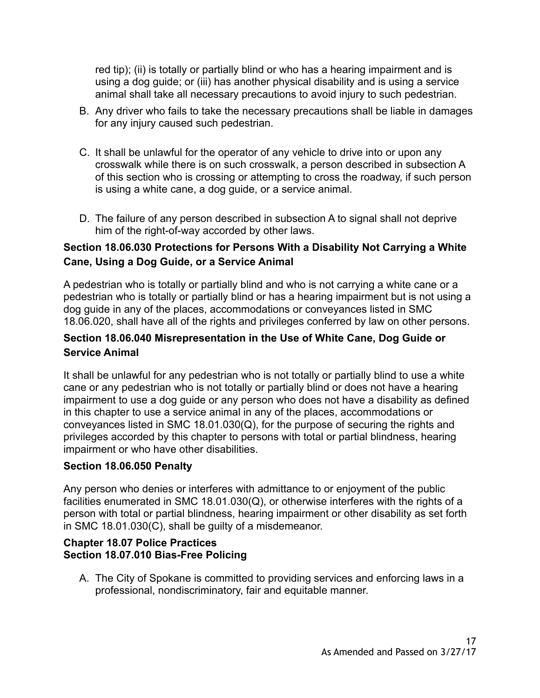red tip); (ii) is totally or partially blind or who has a hearing impairment and is using a dog guide; or (iii) has another physical disability and is using a service animal shall take all necessary precautions to avoid injury to such pedestrian.

- B. Any driver who fails to take the necessary precautions shall be liable in damages for any injury caused such pedestrian.
- C. It shall be unlawful for the operator of any vehicle to drive into or upon any crosswalk while there is on such crosswalk, a person described in subsection A of this section who is crossing or attempting to cross the roadway, if such person is using a white cane, a dog guide, or a service animal.
- D. The failure of any person described in subsection A to signal shall not deprive him of the right-of-way accorded by other laws.

## **Section 18.06.030 Protections for Persons With a Disability Not Carrying a White Cane, Using a Dog Guide, or a Service Animal**

A pedestrian who is totally or partially blind and who is not carrying a white cane or a pedestrian who is totally or partially blind or has a hearing impairment but is not using a dog guide in any of the places, accommodations or conveyances listed in SMC 18.06.020, shall have all of the rights and privileges conferred by law on other persons.

# **Section 18.06.040 Misrepresentation in the Use of White Cane, Dog Guide or Service Animal**

It shall be unlawful for any pedestrian who is not totally or partially blind to use a white cane or any pedestrian who is not totally or partially blind or does not have a hearing impairment to use a dog guide or any person who does not have a disability as defined in this chapter to use a service animal in any of the places, accommodations or conveyances listed in SMC 18.01.030(Q), for the purpose of securing the rights and privileges accorded by this chapter to persons with total or partial blindness, hearing impairment or who have other disabilities.

### **Section 18.06.050 Penalty**

Any person who denies or interferes with admittance to or enjoyment of the public facilities enumerated in SMC 18.01.030(Q), or otherwise interferes with the rights of a person with total or partial blindness, hearing impairment or other disability as set forth in SMC 18.01.030(C), shall be guilty of a misdemeanor.

### **Chapter 18.07 Police Practices Section 18.07.010 Bias-Free Policing**

A. The City of Spokane is committed to providing services and enforcing laws in a professional, nondiscriminatory, fair and equitable manner.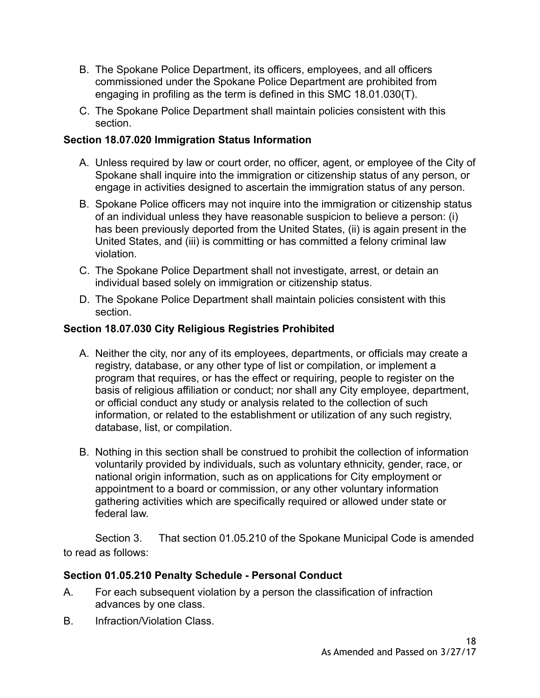- B. The Spokane Police Department, its officers, employees, and all officers commissioned under the Spokane Police Department are prohibited from engaging in profiling as the term is defined in this SMC 18.01.030(T).
- C. The Spokane Police Department shall maintain policies consistent with this section.

## **Section 18.07.020 Immigration Status Information**

- A. Unless required by law or court order, no officer, agent, or employee of the City of Spokane shall inquire into the immigration or citizenship status of any person, or engage in activities designed to ascertain the immigration status of any person.
- B. Spokane Police officers may not inquire into the immigration or citizenship status of an individual unless they have reasonable suspicion to believe a person: (i) has been previously deported from the United States, (ii) is again present in the United States, and (iii) is committing or has committed a felony criminal law violation.
- C. The Spokane Police Department shall not investigate, arrest, or detain an individual based solely on immigration or citizenship status.
- D. The Spokane Police Department shall maintain policies consistent with this section.

# **Section 18.07.030 City Religious Registries Prohibited**

- A. Neither the city, nor any of its employees, departments, or officials may create a registry, database, or any other type of list or compilation, or implement a program that requires, or has the effect or requiring, people to register on the basis of religious affiliation or conduct; nor shall any City employee, department, or official conduct any study or analysis related to the collection of such information, or related to the establishment or utilization of any such registry, database, list, or compilation.
- B. Nothing in this section shall be construed to prohibit the collection of information voluntarily provided by individuals, such as voluntary ethnicity, gender, race, or national origin information, such as on applications for City employment or appointment to a board or commission, or any other voluntary information gathering activities which are specifically required or allowed under state or federal law.

Section 3. That section 01.05.210 of the Spokane Municipal Code is amended to read as follows:

# **[Section 01.05.210](https://my.spokanecity.org/smc/?Section=01.05.210) Penalty Schedule - Personal Conduct**

- A. For each subsequent violation by a person the classification of infraction advances by one class.
- B. Infraction/Violation Class.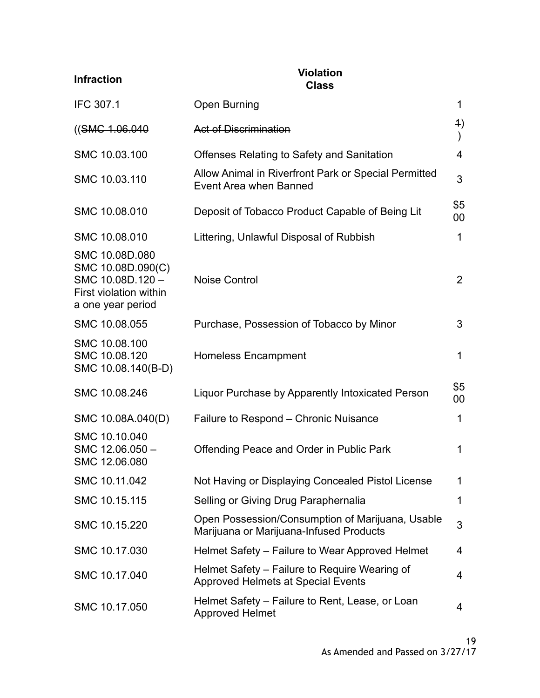| <b>Infraction</b>                                                                                     | <b>Violation</b><br><b>Class</b>                                                            |                |
|-------------------------------------------------------------------------------------------------------|---------------------------------------------------------------------------------------------|----------------|
| <b>IFC 307.1</b>                                                                                      | <b>Open Burning</b>                                                                         | $\mathbf 1$    |
| ((SMG.1.06.040                                                                                        | <b>Act of Discrimination</b>                                                                | 4)             |
| SMC 10.03.100                                                                                         | Offenses Relating to Safety and Sanitation                                                  | 4              |
| SMC 10.03.110                                                                                         | Allow Animal in Riverfront Park or Special Permitted<br>Event Area when Banned              | 3              |
| SMC 10.08.010                                                                                         | Deposit of Tobacco Product Capable of Being Lit                                             | \$5<br>00      |
| SMC 10.08.010                                                                                         | Littering, Unlawful Disposal of Rubbish                                                     | 1              |
| SMC 10.08D.080<br>SMC 10.08D.090(C)<br>SMC 10.08D.120-<br>First violation within<br>a one year period | <b>Noise Control</b>                                                                        | $\overline{2}$ |
| SMC 10.08.055                                                                                         | Purchase, Possession of Tobacco by Minor                                                    | 3              |
| SMC 10.08.100<br>SMC 10.08.120<br>SMC 10.08.140(B-D)                                                  | <b>Homeless Encampment</b>                                                                  | 1              |
| SMC 10.08.246                                                                                         | Liquor Purchase by Apparently Intoxicated Person                                            | \$5<br>00      |
| SMC 10.08A.040(D)                                                                                     | Failure to Respond – Chronic Nuisance                                                       | 1              |
| SMC 10.10.040<br>SMC 12.06.050 -<br>SMC 12.06.080                                                     | Offending Peace and Order in Public Park                                                    | 1              |
| SMC 10.11.042                                                                                         | Not Having or Displaying Concealed Pistol License                                           | 1              |
| SMC 10.15.115                                                                                         | Selling or Giving Drug Paraphernalia                                                        | 1              |
| SMC 10.15.220                                                                                         | Open Possession/Consumption of Marijuana, Usable<br>Marijuana or Marijuana-Infused Products | 3              |
| SMC 10.17.030                                                                                         | Helmet Safety – Failure to Wear Approved Helmet                                             | 4              |
| SMC 10.17.040                                                                                         | Helmet Safety – Failure to Require Wearing of<br><b>Approved Helmets at Special Events</b>  | 4              |
| SMC 10.17.050                                                                                         | Helmet Safety – Failure to Rent, Lease, or Loan<br><b>Approved Helmet</b>                   | 4              |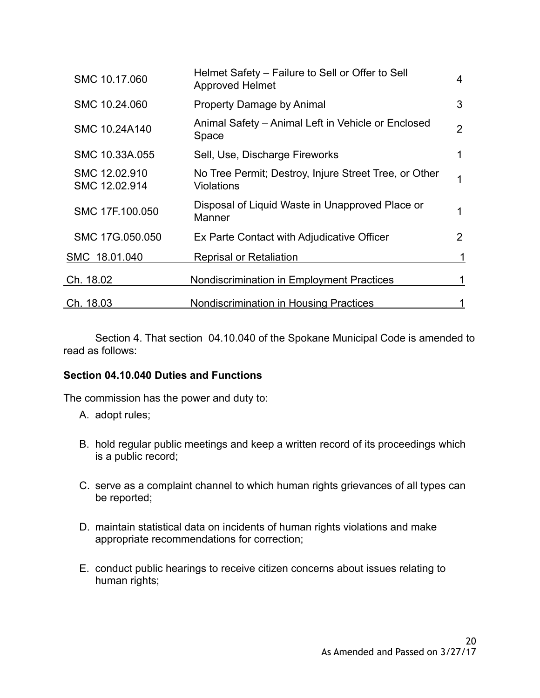| SMC 10.17.060                  | Helmet Safety - Failure to Sell or Offer to Sell<br><b>Approved Helmet</b> | 4 |
|--------------------------------|----------------------------------------------------------------------------|---|
| SMC 10.24.060                  | <b>Property Damage by Animal</b>                                           | 3 |
| SMC 10.24A140                  | Animal Safety - Animal Left in Vehicle or Enclosed<br>Space                | 2 |
| SMC 10.33A.055                 | Sell, Use, Discharge Fireworks                                             |   |
| SMC 12.02.910<br>SMC 12.02.914 | No Tree Permit; Destroy, Injure Street Tree, or Other<br>Violations        |   |
| SMC 17F.100.050                | Disposal of Liquid Waste in Unapproved Place or<br>Manner                  | 1 |
| SMC 17G.050.050                | Ex Parte Contact with Adjudicative Officer                                 | 2 |
| SMC 18.01.040                  | <b>Reprisal or Retaliation</b>                                             |   |
| Ch. 18.02                      | <b>Nondiscrimination in Employment Practices</b>                           |   |
| Ch. 18.03                      | Nondiscrimination in Housing Practices                                     |   |

Section 4. That section 04.10.040 of the Spokane Municipal Code is amended to read as follows:

### **[Section 04.10.040](https://my.spokanecity.org/smc/?Section=04.10.040) Duties and Functions**

The commission has the power and duty to:

- A. adopt rules;
- B. hold regular public meetings and keep a written record of its proceedings which is a public record;
- C. serve as a complaint channel to which human rights grievances of all types can be reported;
- D. maintain statistical data on incidents of human rights violations and make appropriate recommendations for correction;
- E. conduct public hearings to receive citizen concerns about issues relating to human rights;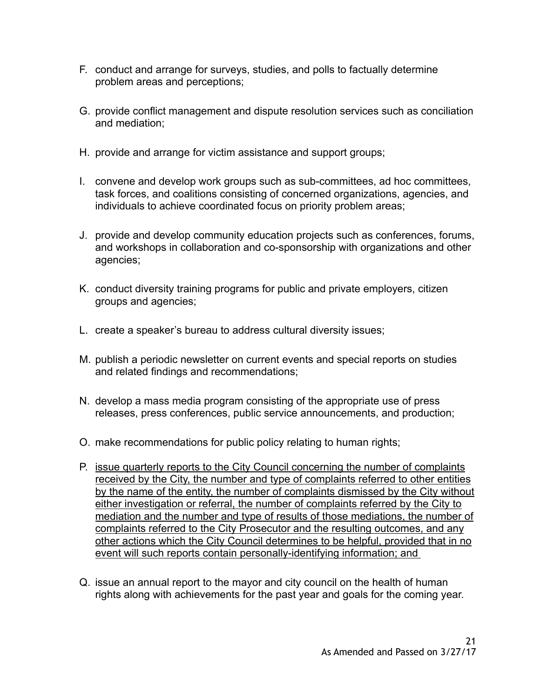- F. conduct and arrange for surveys, studies, and polls to factually determine problem areas and perceptions;
- G. provide conflict management and dispute resolution services such as conciliation and mediation;
- H. provide and arrange for victim assistance and support groups;
- I. convene and develop work groups such as sub-committees, ad hoc committees, task forces, and coalitions consisting of concerned organizations, agencies, and individuals to achieve coordinated focus on priority problem areas;
- J. provide and develop community education projects such as conferences, forums, and workshops in collaboration and co-sponsorship with organizations and other agencies;
- K. conduct diversity training programs for public and private employers, citizen groups and agencies;
- L. create a speaker's bureau to address cultural diversity issues;
- M. publish a periodic newsletter on current events and special reports on studies and related findings and recommendations;
- N. develop a mass media program consisting of the appropriate use of press releases, press conferences, public service announcements, and production;
- O. make recommendations for public policy relating to human rights;
- P. issue quarterly reports to the City Council concerning the number of complaints received by the City, the number and type of complaints referred to other entities by the name of the entity, the number of complaints dismissed by the City without either investigation or referral, the number of complaints referred by the City to mediation and the number and type of results of those mediations, the number of complaints referred to the City Prosecutor and the resulting outcomes, and any other actions which the City Council determines to be helpful, provided that in no event will such reports contain personally-identifying information; and
- Q. issue an annual report to the mayor and city council on the health of human rights along with achievements for the past year and goals for the coming year.